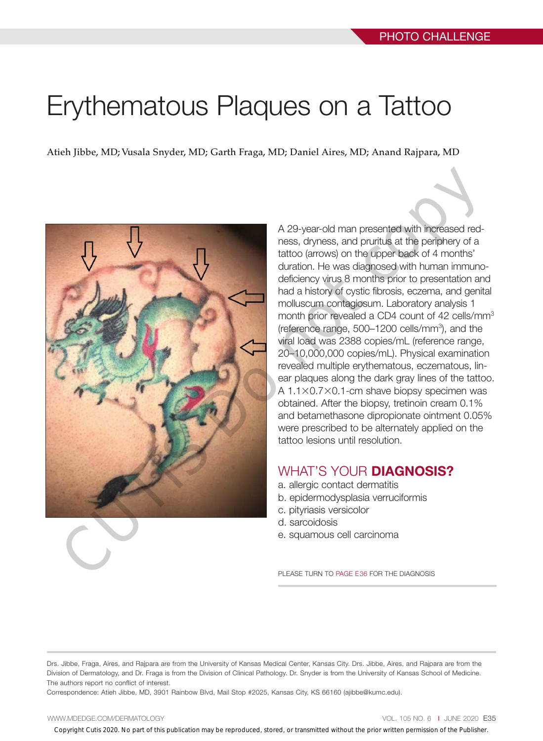# Erythematous Plaques on a Tattoo

Atieh Jibbe, MD; Vusala Snyder, MD; Garth Fraga, MD; Daniel Aires, MD; Anand Rajpara, MD



A 29-year-old man presented with increased redness, dryness, and pruritus at the periphery of a tattoo (arrows) on the upper back of 4 months' duration. He was diagnosed with human immunodeficiency virus 8 months prior to presentation and had a history of cystic fibrosis, eczema, and genital molluscum contagiosum. Laboratory analysis 1 month prior revealed a CD4 count of 42 cells/mm<sup>3</sup> (reference range, 500–1200 cells/mm<sup>3</sup>), and the viral load was 2388 copies/mL (reference range, 20–10,000,000 copies/mL). Physical examination revealed multiple erythematous, eczematous, linear plaques along the dark gray lines of the tattoo. A 1.1×0.7×0.1-cm shave biopsy specimen was obtained. After the biopsy, tretinoin cream 0.1% and betamethasone dipropionate ointment 0.05% were prescribed to be alternately applied on the tattoo lesions until resolution.

### WHAT'S YOUR **DIAGNOSIS?**

- a. allergic contact dermatitis
- b. epidermodysplasia verruciformis
- c. pityriasis versicolor
- d. sarcoidosis
- e. squamous cell carcinoma

PLEASE TURN TO PAGE E36 FOR THE DIAGNOSIS

Drs. Jibbe, Fraga, Aires, and Rajpara are from the University of Kansas Medical Center, Kansas City. Drs. Jibbe, Aires, and Rajpara are from the Division of Dermatology, and Dr. Fraga is from the Division of Clinical Pathology. Dr. Snyder is from the University of Kansas School of Medicine. The authors report no conflict of interest.

Correspondence: Atieh Jibbe, MD, 3901 Rainbow Blvd, Mail Stop #2025, Kansas City, KS 66160 (ajibbe@kumc.edu).

#### WWW.MDEDGE.COM/DERMATOLOGY **VOL. 105 NO. 6 I JUNE 2020 E35**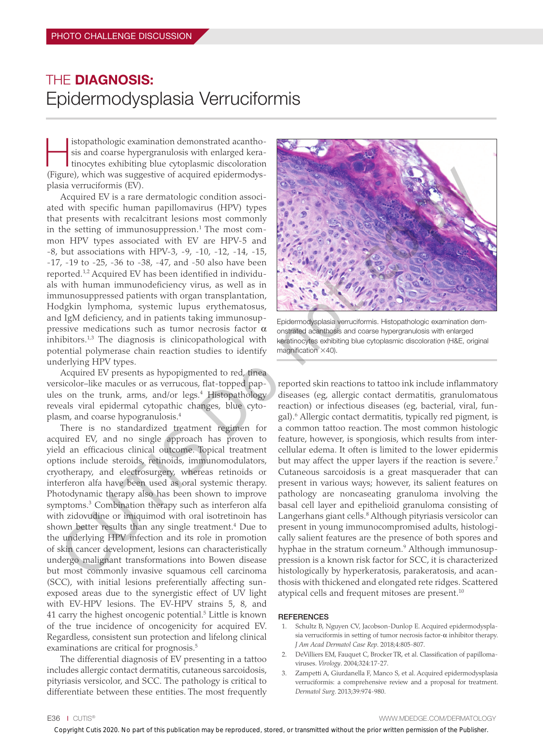## THE DIAGNOSIS: Epidermodysplasia Verruciformis

Histopathologic examination demonstrated acantho-tinocytes exhibiting blue cytoplasmic discoloration sis and coarse hypergranulosis with enlarged kera-(Figure), which was suggestive of acquired epidermodysplasia verruciformis (EV).

Acquired EV is a rare dermatologic condition associated with specific human papillomavirus (HPV) types that presents with recalcitrant lesions most commonly in the setting of immunosuppression.<sup>1</sup> The most common HPV types associated with EV are HPV-5 and -8, but associations with HPV-3, -9, -10, -12, -14, -15, -17, -19 to -25, -36 to -38, -47, and -50 also have been reported.<sup>1,2</sup> Acquired EV has been identified in individuals with human immunodeficiency virus, as well as in immunosuppressed patients with organ transplantation, Hodgkin lymphoma, systemic lupus erythematosus, and IgM deficiency, and in patients taking immunosuppressive medications such as tumor necrosis factor  $α$ inhibitors. $1,3$  The diagnosis is clinicopathological with potential polymerase chain reaction studies to identify underlying HPV types.

Acquired EV presents as hypopigmented to red, tinea versicolor–like macules or as verrucous, flat-topped papules on the trunk, arms, and/or legs.<sup>4</sup> Histopathology reveals viral epidermal cytopathic changes, blue cytoplasm, and coarse hypogranulosis.4

There is no standardized treatment regimen for acquired EV, and no single approach has proven to yield an efficacious clinical outcome. Topical treatment options include steroids, retinoids, immunomodulators, cryotherapy, and electrosurgery, whereas retinoids or interferon alfa have been used as oral systemic therapy. Photodynamic therapy also has been shown to improve symptoms.<sup>3</sup> Combination therapy such as interferon alfa with zidovudine or imiquimod with oral isotretinoin has shown better results than any single treatment.<sup>4</sup> Due to the underlying HPV infection and its role in promotion of skin cancer development, lesions can characteristically undergo malignant transformations into Bowen disease but most commonly invasive squamous cell carcinoma (SCC), with initial lesions preferentially affecting sunexposed areas due to the synergistic effect of UV light with EV-HPV lesions. The EV-HPV strains 5, 8, and 41 carry the highest oncogenic potential.<sup>5</sup> Little is known of the true incidence of oncogenicity for acquired EV. Regardless, consistent sun protection and lifelong clinical examinations are critical for prognosis.<sup>5</sup> Copyright Cuties 2020. No part of the publication may be represented with the publication may be represented with the copyright Cuties 2020. No part of the prior may be reproduced with the prior may be reproduced with the

The differential diagnosis of EV presenting in a tattoo includes allergic contact dermatitis, cutaneous sarcoidosis, pityriasis versicolor, and SCC. The pathology is critical to differentiate between these entities. The most frequently



Epidermodysplasia verruciformis. Histopathologic examination demonstrated acanthosis and coarse hypergranulosis with enlarged keratinocytes exhibiting blue cytoplasmic discoloration (H&E, original magnification  $\times$ 40).

reported skin reactions to tattoo ink include inflammatory diseases (eg, allergic contact dermatitis, granulomatous reaction) or infectious diseases (eg, bacterial, viral, fungal).6 Allergic contact dermatitis, typically red pigment, is a common tattoo reaction. The most common histologic feature, however, is spongiosis, which results from intercellular edema. It often is limited to the lower epidermis but may affect the upper layers if the reaction is severe.<sup>7</sup> Cutaneous sarcoidosis is a great masquerader that can present in various ways; however, its salient features on pathology are noncaseating granuloma involving the basal cell layer and epithelioid granuloma consisting of Langerhans giant cells.<sup>8</sup> Although pityriasis versicolor can present in young immunocompromised adults, histologically salient features are the presence of both spores and hyphae in the stratum corneum.<sup>9</sup> Although immunosuppression is a known risk factor for SCC, it is characterized histologically by hyperkeratosis, parakeratosis, and acanthosis with thickened and elongated rete ridges. Scattered atypical cells and frequent mitoses are present.<sup>10</sup>

#### **REFERENCES**

- 1. Schultz B, Nguyen CV, Jacobson-Dunlop E. Acquired epidermodysplasia verruciformis in setting of tumor necrosis factor- $α$  inhibitor therapy. *J Am Acad Dermatol Case Rep*. 2018;4:805-807.
- 2. DeVilliers EM, Fauquet C, Brocker TR, et al. Classification of papillomaviruses. *Virology*. 2004;324:17-27.
- 3. Zampetti A, Giurdanella F, Manco S, et al. Acquired epidermodysplasia verruciformis: a comprehensive review and a proposal for treatment. *Dermatol Surg*. 2013;39:974-980.